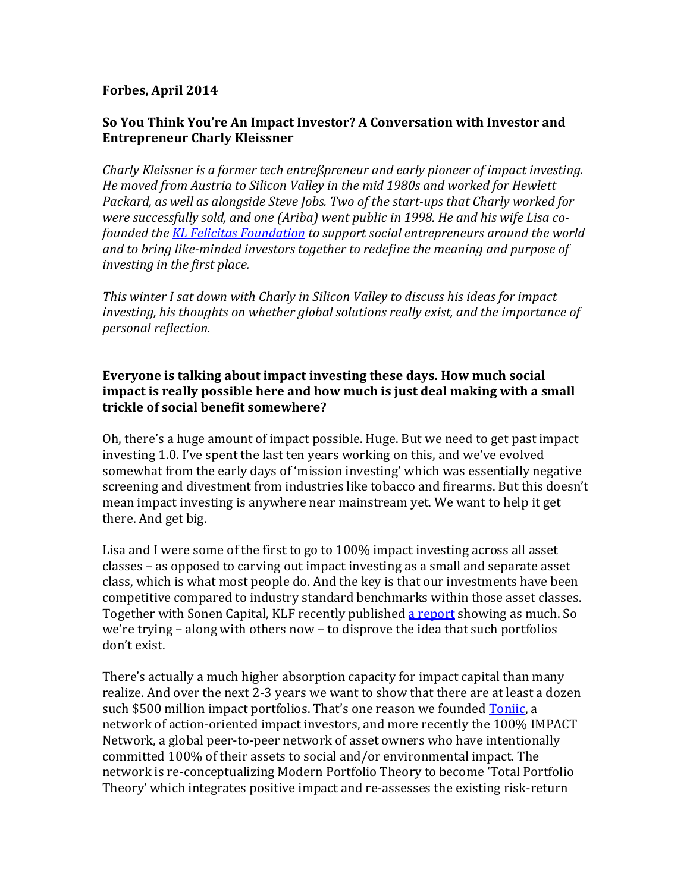#### **Forbes, April 2014**

# **So You Think You're An Impact Investor? A Conversation with Investor and Entrepreneur Charly Kleissner**

*Charly Kleissner is a former tech entreßpreneur and early pioneer of impact investing.* He moved from Austria to Silicon Valley in the mid 1980s and worked for Hewlett Packard, as well as alongside Steve Jobs. Two of the start-ups that Charly worked for were successfully sold, and one (Ariba) went public in 1998. He and his wife Lisa co*founded* the *KL Felicitas Foundation* to support social entrepreneurs around the world and to bring like-minded investors together to redefine the meaning and purpose of *investing in the first place.* 

This winter I sat down with Charly in Silicon Valley to discuss his ideas for impact *investing, his thoughts on whether global solutions really exist, and the importance of personal reflection.* 

# **Everyone is talking about impact investing these days. How much social impact is really possible here and how much is just deal making with a small trickle of social benefit somewhere?**

Oh, there's a huge amount of impact possible. Huge. But we need to get past impact investing 1.0. I've spent the last ten years working on this, and we've evolved somewhat from the early days of 'mission investing' which was essentially negative screening and divestment from industries like tobacco and firearms. But this doesn't mean impact investing is anywhere near mainstream yet. We want to help it get there. And get big.

Lisa and I were some of the first to go to 100% impact investing across all asset classes - as opposed to carving out impact investing as a small and separate asset class, which is what most people do. And the key is that our investments have been competitive compared to industry standard benchmarks within those asset classes. Together with Sonen Capital, KLF recently published a report showing as much. So we're trying  $-$  along with others now  $-$  to disprove the idea that such portfolios don't exist.

There's actually a much higher absorption capacity for impact capital than many realize. And over the next 2-3 years we want to show that there are at least a dozen such \$500 million impact portfolios. That's one reason we founded Toniic, a network of action-oriented impact investors, and more recently the 100% IMPACT Network, a global peer-to-peer network of asset owners who have intentionally committed 100% of their assets to social and/or environmental impact. The network is re-conceptualizing Modern Portfolio Theory to become 'Total Portfolio Theory' which integrates positive impact and re-assesses the existing risk-return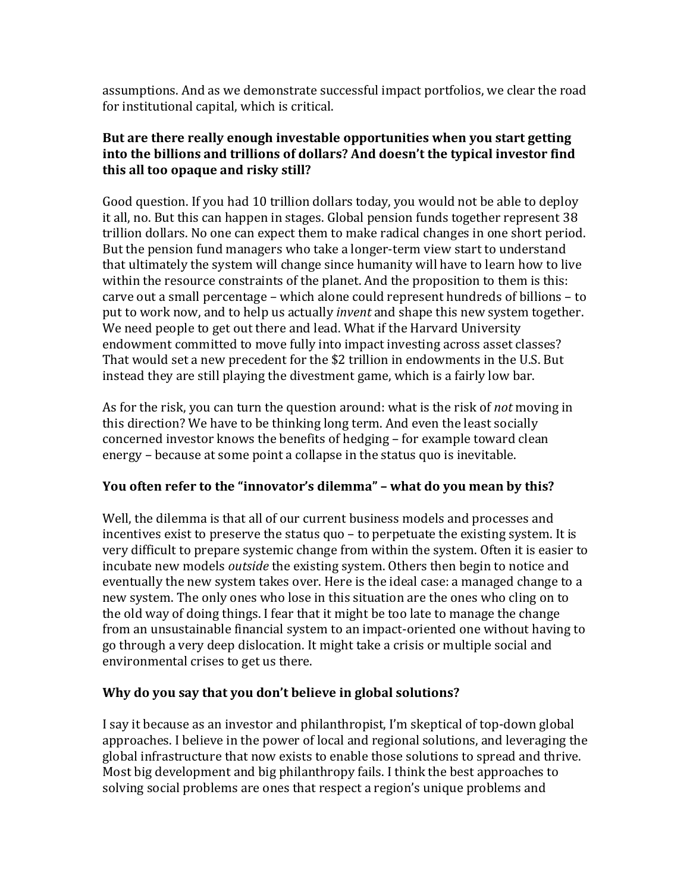assumptions. And as we demonstrate successful impact portfolios, we clear the road for institutional capital, which is critical.

# But are there really enough investable opportunities when you start getting into the billions and trillions of dollars? And doesn't the typical investor find this all too opaque and risky still?

Good question. If you had 10 trillion dollars today, you would not be able to deploy it all, no. But this can happen in stages. Global pension funds together represent 38 trillion dollars. No one can expect them to make radical changes in one short period. But the pension fund managers who take a longer-term view start to understand that ultimately the system will change since humanity will have to learn how to live within the resource constraints of the planet. And the proposition to them is this: carve out a small percentage – which alone could represent hundreds of billions – to put to work now, and to help us actually *invent* and shape this new system together. We need people to get out there and lead. What if the Harvard University endowment committed to move fully into impact investing across asset classes? That would set a new precedent for the \$2 trillion in endowments in the U.S. But instead they are still playing the divestment game, which is a fairly low bar.

As for the risk, you can turn the question around: what is the risk of *not* moving in this direction? We have to be thinking long term. And even the least socially concerned investor knows the benefits of hedging - for example toward clean energy – because at some point a collapse in the status quo is inevitable.

# **You often refer to the "innovator's dilemma"** – what do you mean by this?

Well, the dilemma is that all of our current business models and processes and incentives exist to preserve the status  $\alpha$ uo – to perpetuate the existing system. It is very difficult to prepare systemic change from within the system. Often it is easier to incubate new models *outside* the existing system. Others then begin to notice and eventually the new system takes over. Here is the ideal case: a managed change to a new system. The only ones who lose in this situation are the ones who cling on to the old way of doing things. I fear that it might be too late to manage the change from an unsustainable financial system to an impact-oriented one without having to go through a very deep dislocation. It might take a crisis or multiple social and environmental crises to get us there.

# Why do you say that you don't believe in global solutions?

I say it because as an investor and philanthropist, I'm skeptical of top-down global approaches. I believe in the power of local and regional solutions, and leveraging the global infrastructure that now exists to enable those solutions to spread and thrive. Most big development and big philanthropy fails. I think the best approaches to solving social problems are ones that respect a region's unique problems and